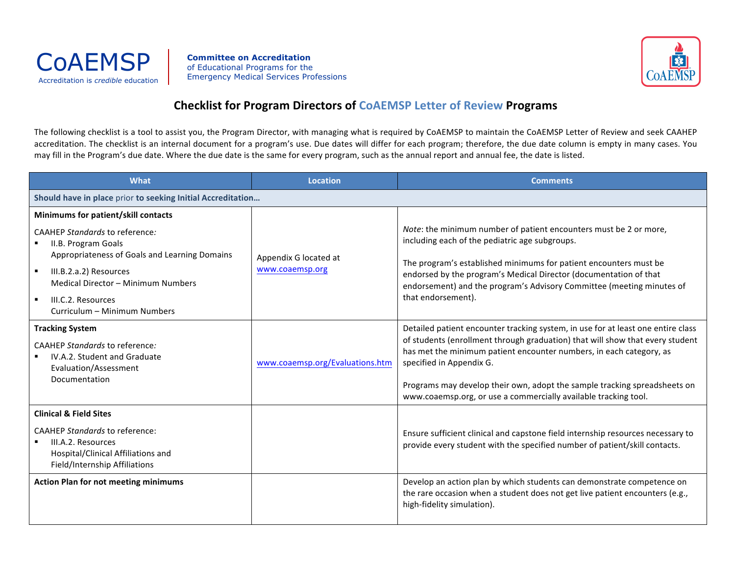

**Committee on Accreditation** of Educational Programs for the Emergency Medical Services Professions Accreditation is *credible* education



## **Checklist for Program Directors of CoAEMSP Letter of Review Programs**

The following checklist is a tool to assist you, the Program Director, with managing what is required by CoAEMSP to maintain the CoAEMSP Letter of Review and seek CAAHEP accreditation. The checklist is an internal document for a program's use. Due dates will differ for each program; therefore, the due date column is empty in many cases. You may fill in the Program's due date. Where the due date is the same for every program, such as the annual report and annual fee, the date is listed.

| What                                                                                                                                                                                            | <b>Location</b>                          | <b>Comments</b>                                                                                                                                                                                                                                                                                                                                                                                                      |  |  |
|-------------------------------------------------------------------------------------------------------------------------------------------------------------------------------------------------|------------------------------------------|----------------------------------------------------------------------------------------------------------------------------------------------------------------------------------------------------------------------------------------------------------------------------------------------------------------------------------------------------------------------------------------------------------------------|--|--|
| Should have in place prior to seeking Initial Accreditation                                                                                                                                     |                                          |                                                                                                                                                                                                                                                                                                                                                                                                                      |  |  |
| Minimums for patient/skill contacts                                                                                                                                                             |                                          |                                                                                                                                                                                                                                                                                                                                                                                                                      |  |  |
| <b>CAAHEP Standards to reference:</b><br>II.B. Program Goals<br>Appropriateness of Goals and Learning Domains<br>$\blacksquare$<br>III.B.2.a.2) Resources<br>Medical Director - Minimum Numbers | Appendix G located at<br>www.coaemsp.org | Note: the minimum number of patient encounters must be 2 or more,<br>including each of the pediatric age subgroups.<br>The program's established minimums for patient encounters must be<br>endorsed by the program's Medical Director (documentation of that<br>endorsement) and the program's Advisory Committee (meeting minutes of                                                                               |  |  |
| $\blacksquare$<br>III.C.2. Resources<br>Curriculum - Minimum Numbers                                                                                                                            |                                          | that endorsement).                                                                                                                                                                                                                                                                                                                                                                                                   |  |  |
| <b>Tracking System</b><br><b>CAAHEP Standards to reference:</b><br>IV.A.2. Student and Graduate<br>Evaluation/Assessment<br>Documentation                                                       | www.coaemsp.org/Evaluations.htm          | Detailed patient encounter tracking system, in use for at least one entire class<br>of students (enrollment through graduation) that will show that every student<br>has met the minimum patient encounter numbers, in each category, as<br>specified in Appendix G.<br>Programs may develop their own, adopt the sample tracking spreadsheets on<br>www.coaemsp.org, or use a commercially available tracking tool. |  |  |
| <b>Clinical &amp; Field Sites</b>                                                                                                                                                               |                                          |                                                                                                                                                                                                                                                                                                                                                                                                                      |  |  |
| <b>CAAHEP Standards to reference:</b><br>III.A.2. Resources<br>Hospital/Clinical Affiliations and<br>Field/Internship Affiliations                                                              |                                          | Ensure sufficient clinical and capstone field internship resources necessary to<br>provide every student with the specified number of patient/skill contacts.                                                                                                                                                                                                                                                        |  |  |
| <b>Action Plan for not meeting minimums</b>                                                                                                                                                     |                                          | Develop an action plan by which students can demonstrate competence on<br>the rare occasion when a student does not get live patient encounters (e.g.,<br>high-fidelity simulation).                                                                                                                                                                                                                                 |  |  |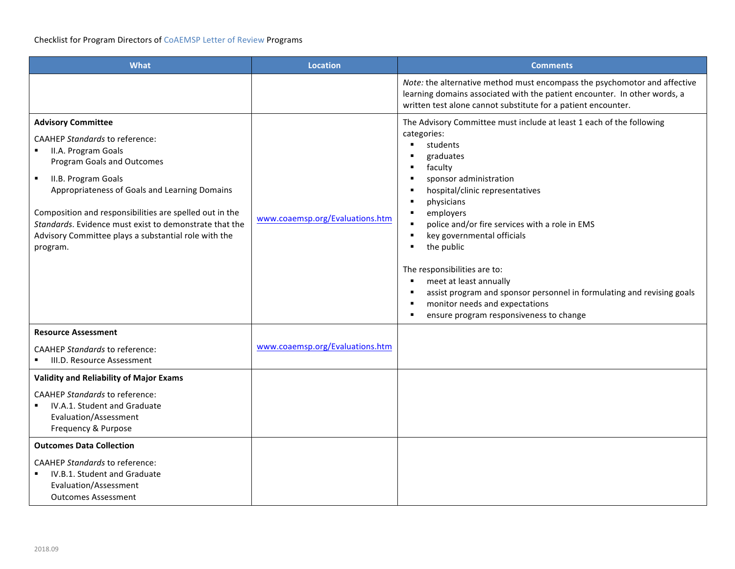| <b>What</b>                                                                                                                                                                                                                                                                                                                                                                                                | <b>Location</b>                 | <b>Comments</b>                                                                                                                                                                                                                                                                                                                                                                                                                                                                                                                                                              |
|------------------------------------------------------------------------------------------------------------------------------------------------------------------------------------------------------------------------------------------------------------------------------------------------------------------------------------------------------------------------------------------------------------|---------------------------------|------------------------------------------------------------------------------------------------------------------------------------------------------------------------------------------------------------------------------------------------------------------------------------------------------------------------------------------------------------------------------------------------------------------------------------------------------------------------------------------------------------------------------------------------------------------------------|
|                                                                                                                                                                                                                                                                                                                                                                                                            |                                 | Note: the alternative method must encompass the psychomotor and affective<br>learning domains associated with the patient encounter. In other words, a<br>written test alone cannot substitute for a patient encounter.                                                                                                                                                                                                                                                                                                                                                      |
| <b>Advisory Committee</b><br><b>CAAHEP Standards to reference:</b><br>II.A. Program Goals<br>Program Goals and Outcomes<br>II.B. Program Goals<br>$\blacksquare$<br>Appropriateness of Goals and Learning Domains<br>Composition and responsibilities are spelled out in the<br>Standards. Evidence must exist to demonstrate that the<br>Advisory Committee plays a substantial role with the<br>program. | www.coaemsp.org/Evaluations.htm | The Advisory Committee must include at least 1 each of the following<br>categories:<br>students<br>$\blacksquare$<br>graduates<br>faculty<br>sponsor administration<br>hospital/clinic representatives<br>physicians<br>employers<br>police and/or fire services with a role in EMS<br>$\blacksquare$<br>key governmental officials<br>٠<br>the public<br>٠<br>The responsibilities are to:<br>meet at least annually<br>assist program and sponsor personnel in formulating and revising goals<br>monitor needs and expectations<br>ensure program responsiveness to change |
| <b>Resource Assessment</b>                                                                                                                                                                                                                                                                                                                                                                                 |                                 |                                                                                                                                                                                                                                                                                                                                                                                                                                                                                                                                                                              |
| <b>CAAHEP Standards to reference:</b><br>III.D. Resource Assessment                                                                                                                                                                                                                                                                                                                                        | www.coaemsp.org/Evaluations.htm |                                                                                                                                                                                                                                                                                                                                                                                                                                                                                                                                                                              |
| <b>Validity and Reliability of Major Exams</b>                                                                                                                                                                                                                                                                                                                                                             |                                 |                                                                                                                                                                                                                                                                                                                                                                                                                                                                                                                                                                              |
| <b>CAAHEP Standards to reference:</b><br>IV.A.1. Student and Graduate<br>Evaluation/Assessment<br>Frequency & Purpose                                                                                                                                                                                                                                                                                      |                                 |                                                                                                                                                                                                                                                                                                                                                                                                                                                                                                                                                                              |
| <b>Outcomes Data Collection</b>                                                                                                                                                                                                                                                                                                                                                                            |                                 |                                                                                                                                                                                                                                                                                                                                                                                                                                                                                                                                                                              |
| <b>CAAHEP Standards to reference:</b><br>IV.B.1. Student and Graduate<br>Evaluation/Assessment<br><b>Outcomes Assessment</b>                                                                                                                                                                                                                                                                               |                                 |                                                                                                                                                                                                                                                                                                                                                                                                                                                                                                                                                                              |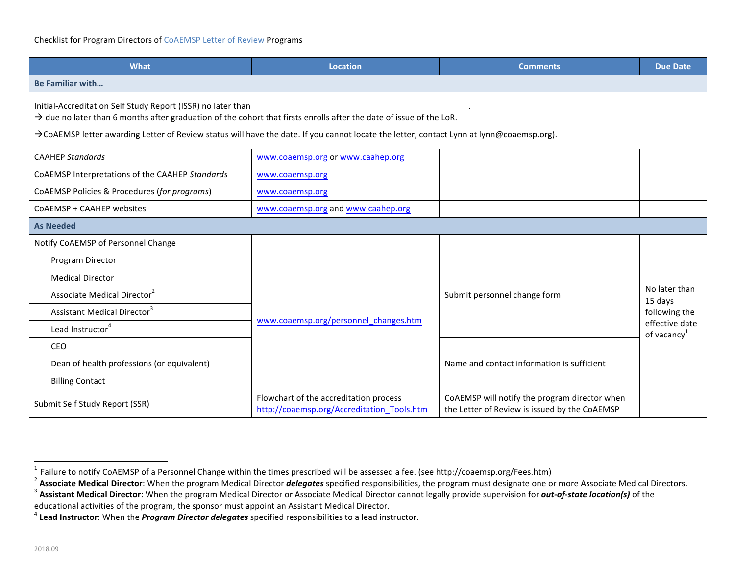## Checklist for Program Directors of CoAEMSP Letter of Review Programs

| <b>What</b>                                                                                                                                                                                                                                                                                                                                 | <b>Location</b>                                                                      | <b>Comments</b>                                                                                | <b>Due Date</b>                                                                        |
|---------------------------------------------------------------------------------------------------------------------------------------------------------------------------------------------------------------------------------------------------------------------------------------------------------------------------------------------|--------------------------------------------------------------------------------------|------------------------------------------------------------------------------------------------|----------------------------------------------------------------------------------------|
| <b>Be Familiar with</b>                                                                                                                                                                                                                                                                                                                     |                                                                                      |                                                                                                |                                                                                        |
| Initial-Accreditation Self Study Report (ISSR) no later than<br>$\rightarrow$ due no later than 6 months after graduation of the cohort that firsts enrolls after the date of issue of the LoR.<br>→CoAEMSP letter awarding Letter of Review status will have the date. If you cannot locate the letter, contact Lynn at lynn@coaemsp.org). |                                                                                      |                                                                                                |                                                                                        |
| <b>CAAHEP Standards</b>                                                                                                                                                                                                                                                                                                                     | www.coaemsp.org or www.caahep.org                                                    |                                                                                                |                                                                                        |
| CoAEMSP Interpretations of the CAAHEP Standards                                                                                                                                                                                                                                                                                             | www.coaemsp.org                                                                      |                                                                                                |                                                                                        |
| CoAEMSP Policies & Procedures (for programs)                                                                                                                                                                                                                                                                                                | www.coaemsp.org                                                                      |                                                                                                |                                                                                        |
| CoAEMSP + CAAHEP websites                                                                                                                                                                                                                                                                                                                   | www.coaemsp.org and www.caahep.org                                                   |                                                                                                |                                                                                        |
| <b>As Needed</b>                                                                                                                                                                                                                                                                                                                            |                                                                                      |                                                                                                |                                                                                        |
| Notify CoAEMSP of Personnel Change                                                                                                                                                                                                                                                                                                          |                                                                                      |                                                                                                |                                                                                        |
| Program Director                                                                                                                                                                                                                                                                                                                            |                                                                                      | Submit personnel change form                                                                   |                                                                                        |
| <b>Medical Director</b>                                                                                                                                                                                                                                                                                                                     |                                                                                      |                                                                                                |                                                                                        |
| Associate Medical Director <sup>2</sup>                                                                                                                                                                                                                                                                                                     |                                                                                      |                                                                                                | No later than<br>15 days<br>following the<br>effective date<br>of vacancy <sup>1</sup> |
| Assistant Medical Director <sup>3</sup>                                                                                                                                                                                                                                                                                                     |                                                                                      |                                                                                                |                                                                                        |
| Lead Instructor <sup>4</sup>                                                                                                                                                                                                                                                                                                                | www.coaemsp.org/personnel changes.htm                                                |                                                                                                |                                                                                        |
| <b>CEO</b>                                                                                                                                                                                                                                                                                                                                  |                                                                                      |                                                                                                |                                                                                        |
| Dean of health professions (or equivalent)                                                                                                                                                                                                                                                                                                  |                                                                                      | Name and contact information is sufficient                                                     |                                                                                        |
| <b>Billing Contact</b>                                                                                                                                                                                                                                                                                                                      |                                                                                      |                                                                                                |                                                                                        |
| Submit Self Study Report (SSR)                                                                                                                                                                                                                                                                                                              | Flowchart of the accreditation process<br>http://coaemsp.org/Accreditation_Tools.htm | CoAEMSP will notify the program director when<br>the Letter of Review is issued by the CoAEMSP |                                                                                        |

<sup>&</sup>lt;sup>1</sup> Failure to notify CoAEMSP of a Personnel Change within the times prescribed will be assessed a fee. (see http://coaemsp.org/Fees.htm)<br><sup>2</sup> Associate Medical Director: When the program Medical Director *delegates* speci

<sup>&</sup>lt;sup>4</sup> Lead Instructor: When the *Program Director delegates* specified responsibilities to a lead instructor.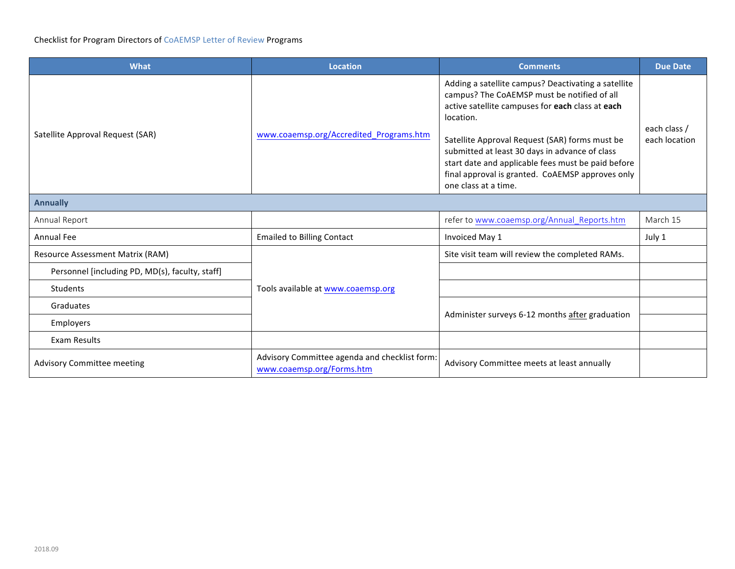## Checklist for Program Directors of CoAEMSP Letter of Review Programs

| <b>What</b>                                     | <b>Location</b>                                                            | <b>Comments</b>                                                                                                                                                                                                                                                                                                                                                                                           | <b>Due Date</b>               |
|-------------------------------------------------|----------------------------------------------------------------------------|-----------------------------------------------------------------------------------------------------------------------------------------------------------------------------------------------------------------------------------------------------------------------------------------------------------------------------------------------------------------------------------------------------------|-------------------------------|
| Satellite Approval Request (SAR)                | www.coaemsp.org/Accredited_Programs.htm                                    | Adding a satellite campus? Deactivating a satellite<br>campus? The CoAEMSP must be notified of all<br>active satellite campuses for each class at each<br>location.<br>Satellite Approval Request (SAR) forms must be<br>submitted at least 30 days in advance of class<br>start date and applicable fees must be paid before<br>final approval is granted. CoAEMSP approves only<br>one class at a time. | each class /<br>each location |
| <b>Annually</b>                                 |                                                                            |                                                                                                                                                                                                                                                                                                                                                                                                           |                               |
| Annual Report                                   |                                                                            | refer to www.coaemsp.org/Annual Reports.htm                                                                                                                                                                                                                                                                                                                                                               | March 15                      |
| <b>Annual Fee</b>                               | <b>Emailed to Billing Contact</b>                                          | Invoiced May 1                                                                                                                                                                                                                                                                                                                                                                                            | July 1                        |
| <b>Resource Assessment Matrix (RAM)</b>         |                                                                            | Site visit team will review the completed RAMs.                                                                                                                                                                                                                                                                                                                                                           |                               |
| Personnel [including PD, MD(s), faculty, staff] |                                                                            |                                                                                                                                                                                                                                                                                                                                                                                                           |                               |
| <b>Students</b>                                 | Tools available at www.coaemsp.org                                         |                                                                                                                                                                                                                                                                                                                                                                                                           |                               |
| Graduates                                       |                                                                            | Administer surveys 6-12 months after graduation                                                                                                                                                                                                                                                                                                                                                           |                               |
| Employers                                       |                                                                            |                                                                                                                                                                                                                                                                                                                                                                                                           |                               |
| Exam Results                                    |                                                                            |                                                                                                                                                                                                                                                                                                                                                                                                           |                               |
| <b>Advisory Committee meeting</b>               | Advisory Committee agenda and checklist form:<br>www.coaemsp.org/Forms.htm | Advisory Committee meets at least annually                                                                                                                                                                                                                                                                                                                                                                |                               |